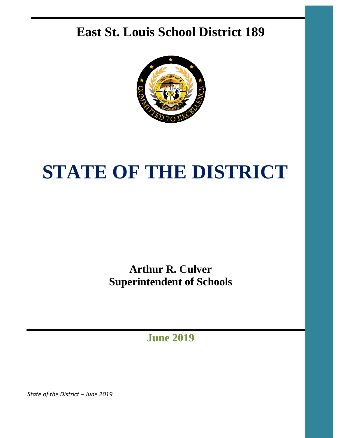# **East St. Louis School District 189**



# **STATE OF THE DISTRICT**

**Arthur R. Culver Superintendent of Schools**

**June 2019**

*State of the District – June 2019*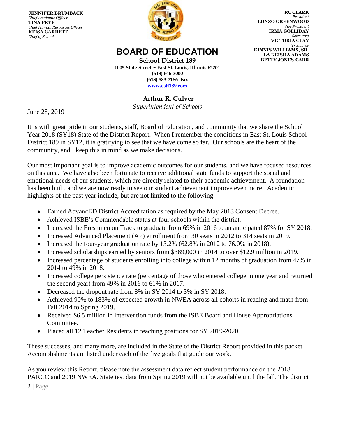**JENNIFER BRUMBACK**  *Chief Academic Officer* **TINA FRYE** *Chief Human Resources Officer* **KEISA GARRETT** *Chief of Schools*



**RC CLARK**  *President* **LONZO GREENWOOD**   *Vice President*  **IRMA GOLLIDAY**  *Secretary*  **VICTORIA CLAY**   *Treasurer* **KINNIS WILLIAMS, SR. LA KEISHA ADAMS BETTY JONES-CARR**

# **BOARD OF EDUCATION**

**School District 189 1005 State Street ~ East St. Louis, Illinois 62201 (618) 646-3000 (618) 583-7186 Fax [www.estl189.com](http://www.estl189.com/)**

> **Arthur R. Culver** *Superintendent of Schools*

June 28, 2019

It is with great pride in our students, staff, Board of Education, and community that we share the School Year 2018 (SY18) State of the District Report. When I remember the conditions in East St. Louis School District 189 in SY12, it is gratifying to see that we have come so far. Our schools are the heart of the community, and I keep this in mind as we make decisions.

Our most important goal is to improve academic outcomes for our students, and we have focused resources on this area. We have also been fortunate to receive additional state funds to support the social and emotional needs of our students, which are directly related to their academic achievement. A foundation has been built, and we are now ready to see our student achievement improve even more. Academic highlights of the past year include, but are not limited to the following:

- Earned AdvancED District Accreditation as required by the May 2013 Consent Decree.
- Achieved ISBE's Commendable status at four schools within the district.
- Increased the Freshmen on Track to graduate from 69% in 2016 to an anticipated 87% for SY 2018.
- Increased Advanced Placement (AP) enrollment from 30 seats in 2012 to 314 seats in 2019.
- Increased the four-year graduation rate by  $13.2\%$  (62.8% in 2012 to 76.0% in 2018).
- Increased scholarships earned by seniors from \$389,000 in 2014 to over \$12.9 million in 2019.
- Increased percentage of students enrolling into college within 12 months of graduation from 47% in 2014 to 49% in 2018.
- Increased college persistence rate (percentage of those who entered college in one year and returned the second year) from 49% in 2016 to 61% in 2017.
- Decreased the dropout rate from 8% in SY 2014 to 3% in SY 2018.
- Achieved 90% to 183% of expected growth in NWEA across all cohorts in reading and math from Fall 2014 to Spring 2019.
- Received \$6.5 million in intervention funds from the ISBE Board and House Appropriations Committee.
- Placed all 12 Teacher Residents in teaching positions for SY 2019-2020.

These successes, and many more, are included in the State of the District Report provided in this packet. Accomplishments are listed under each of the five goals that guide our work.

As you review this Report, please note the assessment data reflect student performance on the 2018 PARCC and 2019 NWEA. State test data from Spring 2019 will not be available until the fall. The district

2 **|** Page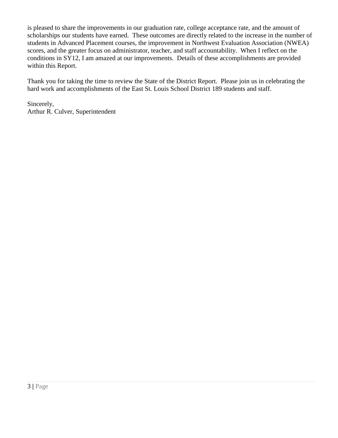is pleased to share the improvements in our graduation rate, college acceptance rate, and the amount of scholarships our students have earned. These outcomes are directly related to the increase in the number of students in Advanced Placement courses, the improvement in Northwest Evaluation Association (NWEA) scores, and the greater focus on administrator, teacher, and staff accountability. When I reflect on the conditions in SY12, I am amazed at our improvements. Details of these accomplishments are provided within this Report.

Thank you for taking the time to review the State of the District Report. Please join us in celebrating the hard work and accomplishments of the East St. Louis School District 189 students and staff.

Sincerely, Arthur R. Culver, Superintendent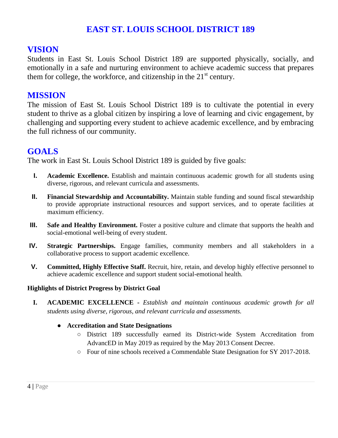# **EAST ST. LOUIS SCHOOL DISTRICT 189**

# **VISION**

Students in East St. Louis School District 189 are supported physically, socially, and emotionally in a safe and nurturing environment to achieve academic success that prepares them for college, the workforce, and citizenship in the  $21<sup>st</sup>$  century.

### **MISSION**

The mission of East St. Louis School District 189 is to cultivate the potential in every student to thrive as a global citizen by inspiring a love of learning and civic engagement, by challenging and supporting every student to achieve academic excellence, and by embracing the full richness of our community.

# **GOALS**

The work in East St. Louis School District 189 is guided by five goals:

- **I. Academic Excellence.** Establish and maintain continuous academic growth for all students using diverse, rigorous, and relevant curricula and assessments.
- **II. Financial Stewardship and Accountability.** Maintain stable funding and sound fiscal stewardship to provide appropriate instructional resources and support services, and to operate facilities at maximum efficiency.
- **III. Safe and Healthy Environment.** Foster a positive culture and climate that supports the health and social-emotional well-being of every student.
- **IV. Strategic Partnerships.** Engage families, community members and all stakeholders in a collaborative process to support academic excellence.
- **V. Committed, Highly Effective Staff.** Recruit, hire, retain, and develop highly effective personnel to achieve academic excellence and support student social-emotional health.

#### **Highlights of District Progress by District Goal**

**I. ACADEMIC EXCELLENCE -** *Establish and maintain continuous academic growth for all students using diverse, rigorous, and relevant curricula and assessments.* 

#### ● **Accreditation and State Designations**

- District 189 successfully earned its District-wide System Accreditation from AdvancED in May 2019 as required by the May 2013 Consent Decree.
- Four of nine schools received a Commendable State Designation for SY 2017-2018.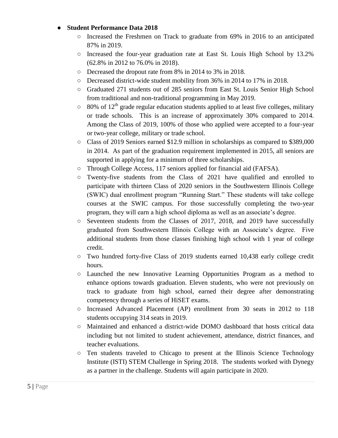#### **Student Performance Data 2018**

- Increased the Freshmen on Track to graduate from 69% in 2016 to an anticipated 87% in 2019.
- Increased the four-year graduation rate at East St. Louis High School by 13.2% (62.8% in 2012 to 76.0% in 2018).
- Decreased the dropout rate from 8% in 2014 to 3% in 2018.
- Decreased district-wide student mobility from 36% in 2014 to 17% in 2018.
- Graduated 271 students out of 285 seniors from East St. Louis Senior High School from traditional and non-traditional programming in May 2019.
- $\circ$  80% of 12<sup>th</sup> grade regular education students applied to at least five colleges, military or trade schools. This is an increase of approximately 30% compared to 2014. Among the Class of 2019, 100% of those who applied were accepted to a four-year or two-year college, military or trade school.
- Class of 2019 Seniors earned \$12.9 million in scholarships as compared to \$389,000 in 2014. As part of the graduation requirement implemented in 2015, all seniors are supported in applying for a minimum of three scholarships.
- Through College Access, 117 seniors applied for financial aid (FAFSA).
- $\circ$  Twenty-five students from the Class of 2021 have qualified and enrolled to participate with thirteen Class of 2020 seniors in the Southwestern Illinois College (SWIC) dual enrollment program "Running Start." These students will take college courses at the SWIC campus. For those successfully completing the two-year program, they will earn a high school diploma as well as an associate's degree.
- Seventeen students from the Classes of 2017, 2018, and 2019 have successfully graduated from Southwestern Illinois College with an Associate's degree. Five additional students from those classes finishing high school with 1 year of college credit.
- Two hundred forty-five Class of 2019 students earned 10,438 early college credit hours.
- Launched the new Innovative Learning Opportunities Program as a method to enhance options towards graduation. Eleven students, who were not previously on track to graduate from high school, earned their degree after demonstrating competency through a series of HiSET exams.
- Increased Advanced Placement (AP) enrollment from 30 seats in 2012 to 118 students occupying 314 seats in 2019.
- Maintained and enhanced a district-wide DOMO dashboard that hosts critical data including but not limited to student achievement, attendance, district finances, and teacher evaluations.
- Ten students traveled to Chicago to present at the Illinois Science Technology Institute (ISTI) STEM Challenge in Spring 2018. The students worked with Dynegy as a partner in the challenge. Students will again participate in 2020.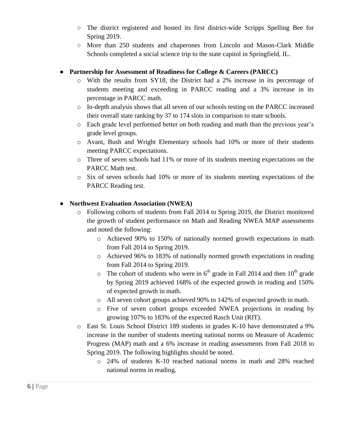- The district registered and hosted its first district-wide Scripps Spelling Bee for Spring 2019.
- More than 250 students and chaperones from Lincoln and Mason-Clark Middle Schools completed a social science trip to the state capitol in Springfield, IL.

#### ● **Partnership for Assessment of Readiness for College & Careers (PARCC)**

- o With the results from SY18, the District had a 2% increase in its percentage of students meeting and exceeding in PARCC reading and a 3% increase in its percentage in PARCC math.
- o In-depth analysis shows that all seven of our schools testing on the PARCC increased their overall state ranking by 37 to 174 slots in comparison to state schools.
- o Each grade level performed better on both reading and math than the previous year's grade level groups.
- o Avant, Bush and Wright Elementary schools had 10% or more of their students meeting PARCC expectations.
- o Three of seven schools had 11% or more of its students meeting expectations on the PARCC Math test.
- o Six of seven schools had 10% or more of its students meeting expectations of the PARCC Reading test.

#### ● **Northwest Evaluation Association (NWEA)**

- o Following cohorts of students from Fall 2014 to Spring 2019, the District monitored the growth of student performance on Math and Reading NWEA MAP assessments and noted the following:
	- o Achieved 90% to 150% of nationally normed growth expectations in math from Fall 2014 to Spring 2019.
	- o Achieved 96% to 183% of nationally normed growth expectations in reading from Fall 2014 to Spring 2019.
	- $\circ$  The cohort of students who were in 6<sup>th</sup> grade in Fall 2014 and then 10<sup>th</sup> grade by Spring 2019 achieved 168% of the expected growth in reading and 150% of expected growth in math.
	- o All seven cohort groups achieved 90% to 142% of expected growth in math.
	- o Five of seven cohort groups exceeded NWEA projections in reading by growing 107% to 183% of the expected Rasch Unit (RIT).
- o East St. Louis School District 189 students in grades K-10 have demonstrated a 9% increase in the number of students meeting national norms on Measure of Academic Progress (MAP) math and a 6% increase in reading assessments from Fall 2018 to Spring 2019. The following highlights should be noted.
	- o 24% of students K-10 reached national norms in math and 28% reached national norms in reading.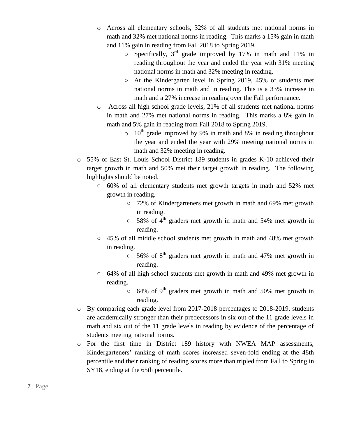- o Across all elementary schools, 32% of all students met national norms in math and 32% met national norms in reading. This marks a 15% gain in math and 11% gain in reading from Fall 2018 to Spring 2019.
	- $\circ$  Specifically, 3<sup>rd</sup> grade improved by 17% in math and 11% in reading throughout the year and ended the year with 31% meeting national norms in math and 32% meeting in reading.
	- At the Kindergarten level in Spring 2019, 45% of students met national norms in math and in reading. This is a 33% increase in math and a 27% increase in reading over the Fall performance.
- o Across all high school grade levels, 21% of all students met national norms in math and 27% met national norms in reading. This marks a 8% gain in math and 5% gain in reading from Fall 2018 to Spring 2019.
	- $\circ$  10<sup>th</sup> grade improved by 9% in math and 8% in reading throughout the year and ended the year with 29% meeting national norms in math and 32% meeting in reading.
- o 55% of East St. Louis School District 189 students in grades K-10 achieved their target growth in math and 50% met their target growth in reading. The following highlights should be noted.
	- $\circ$  60% of all elementary students met growth targets in math and 52% met growth in reading.
		- 72% of Kindergarteners met growth in math and 69% met growth in reading.
		- $\circ$  58% of 4<sup>th</sup> graders met growth in math and 54% met growth in reading.
	- $\circ$  45% of all middle school students met growth in math and 48% met growth in reading.
		- $\circ$  56% of 8<sup>th</sup> graders met growth in math and 47% met growth in reading.
	- 64% of all high school students met growth in math and 49% met growth in reading.
		- $\circ$  64% of 9<sup>th</sup> graders met growth in math and 50% met growth in reading.
- o By comparing each grade level from 2017-2018 percentages to 2018-2019, students are academically stronger than their predecessors in six out of the 11 grade levels in math and six out of the 11 grade levels in reading by evidence of the percentage of students meeting national norms.
- o For the first time in District 189 history with NWEA MAP assessments, Kindergarteners' ranking of math scores increased seven-fold ending at the 48th percentile and their ranking of reading scores more than tripled from Fall to Spring in SY18, ending at the 65th percentile.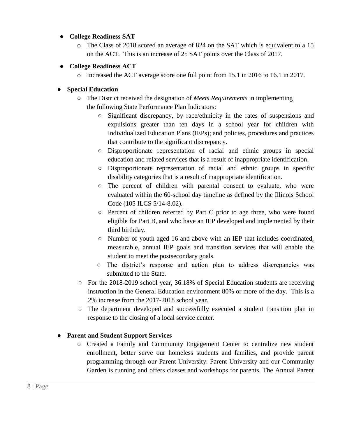#### ● **College Readiness SAT**

o The Class of 2018 scored an average of 824 on the SAT which is equivalent to a 15 on the ACT. This is an increase of 25 SAT points over the Class of 2017.

#### ● **College Readiness ACT**

o Increased the ACT average score one full point from 15.1 in 2016 to 16.1 in 2017.

#### ● **Special Education**

- The District received the designation of *Meets Requirements* in implementing the following State Performance Plan Indicators:
	- Significant discrepancy, by race/ethnicity in the rates of suspensions and expulsions greater than ten days in a school year for children with Individualized Education Plans (IEPs); and policies, procedures and practices that contribute to the significant discrepancy.
	- Disproportionate representation of racial and ethnic groups in special education and related services that is a result of inappropriate identification.
	- Disproportionate representation of racial and ethnic groups in specific disability categories that is a result of inappropriate identification.
	- The percent of children with parental consent to evaluate, who were evaluated within the 60-school day timeline as defined by the Illinois School Code (105 ILCS 5/14-8.02).
	- Percent of children referred by Part C prior to age three, who were found eligible for Part B, and who have an IEP developed and implemented by their third birthday.
	- Number of youth aged 16 and above with an IEP that includes coordinated, measurable, annual IEP goals and transition services that will enable the student to meet the postsecondary goals.
	- The district's response and action plan to address discrepancies was submitted to the State.
- For the 2018-2019 school year, 36.18% of Special Education students are receiving instruction in the General Education environment 80% or more of the day. This is a 2% increase from the 2017-2018 school year.
- The department developed and successfully executed a student transition plan in response to the closing of a local service center.

#### ● **Parent and Student Support Services**

○ Created a Family and Community Engagement Center to centralize new student enrollment, better serve our homeless students and families, and provide parent programming through our Parent University. Parent University and our Community Garden is running and offers classes and workshops for parents. The Annual Parent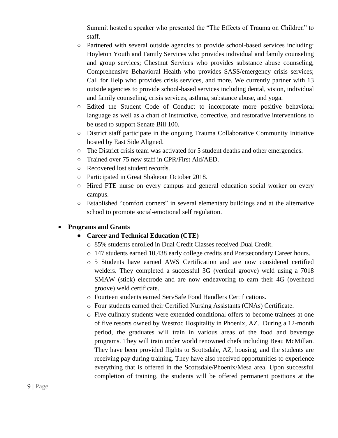Summit hosted a speaker who presented the "The Effects of Trauma on Children" to staff.

- Partnered with several outside agencies to provide school-based services including: Hoyleton Youth and Family Services who provides individual and family counseling and group services; Chestnut Services who provides substance abuse counseling, Comprehensive Behavioral Health who provides SASS/emergency crisis services; Call for Help who provides crisis services, and more. We currently partner with 13 outside agencies to provide school-based services including dental, vision, individual and family counseling, crisis services, asthma, substance abuse, and yoga.
- Edited the Student Code of Conduct to incorporate more positive behavioral language as well as a chart of instructive, corrective, and restorative interventions to be used to support Senate Bill 100.
- District staff participate in the ongoing Trauma Collaborative Community Initiative hosted by East Side Aligned.
- The District crisis team was activated for 5 student deaths and other emergencies.
- Trained over 75 new staff in CPR/First Aid/AED.
- Recovered lost student records.
- Participated in Great Shakeout October 2018.
- Hired FTE nurse on every campus and general education social worker on every campus.
- Established "comfort corners" in several elementary buildings and at the alternative school to promote social-emotional self regulation.

#### **Programs and Grants**

#### ● **Career and Technical Education (CTE)**

- o 85% students enrolled in Dual Credit Classes received Dual Credit.
- o 147 students earned 10,438 early college credits and Postsecondary Career hours.
- o 5 Students have earned AWS Certification and are now considered certified welders. They completed a successful 3G (vertical groove) weld using a 7018 SMAW (stick) electrode and are now endeavoring to earn their 4G (overhead groove) weld certificate.
- o Fourteen students earned ServSafe Food Handlers Certifications.
- o Four students earned their Certified Nursing Assistants (CNAs) Certificate.
- o Five culinary students were extended conditional offers to become trainees at one of five resorts owned by Westroc Hospitality in Phoenix, AZ. During a 12-month period, the graduates will train in various areas of the food and beverage programs. They will train under world renowned chefs including Beau McMillan. They have been provided flights to Scottsdale, AZ, housing, and the students are receiving pay during training. They have also received opportunities to experience everything that is offered in the Scottsdale/Phoenix/Mesa area. Upon successful completion of training, the students will be offered permanent positions at the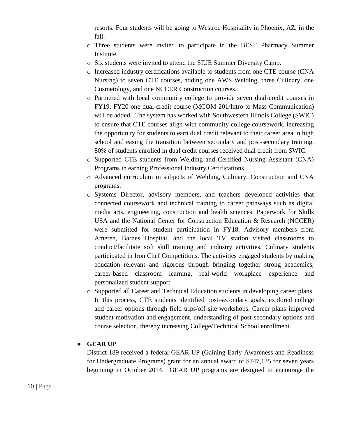resorts. Four students will be going to Westroc Hospitality in Phoenix, AZ. in the fall.

- o Three students were invited to participate in the BEST Pharmacy Summer Institute.
- o Six students were invited to attend the SIUE Summer Diversity Camp.
- o Increased industry certifications available to students from one CTE course (CNA Nursing) to seven CTE courses, adding one AWS Welding, three Culinary, one Cosmetology, and one NCCER Construction courses.
- o Partnered with local community college to provide seven dual-credit courses in FY19. FY20 one dual-credit course (MCOM 201/Intro to Mass Communication) will be added. The system has worked with Southwestern Illinois College (SWIC) to ensure that CTE courses align with community college coursework, increasing the opportunity for students to earn dual credit relevant to their career area in high school and easing the transition between secondary and post-secondary training. 80% of students enrolled in dual credit courses received dual credit from SWIC.
- o Supported CTE students from Welding and Certified Nursing Assistant (CNA) Programs in earning Professional Industry Certifications.
- o Advanced curriculum in subjects of Welding, Culinary, Construction and CNA programs.
- o Systems Director, advisory members, and teachers developed activities that connected coursework and technical training to career pathways such as digital media arts, engineering, construction and health sciences. Paperwork for Skills USA and the National Center for Construction Education & Research (NCCER) were submitted for student participation in FY18. Advisory members from Ameren, Barnes Hospital, and the local TV station visited classrooms to conduct/facilitate soft skill training and industry activities. Culinary students participated in Iron Chef Competitions. The activities engaged students by making education relevant and rigorous through bringing together strong academics, career-based classroom learning, real-world workplace experience and personalized student support.
- o Supported all Career and Technical Education students in developing career plans. In this process, CTE students identified post-secondary goals, explored college and career options through field trips/off site workshops. Career plans improved student motivation and engagement, understanding of post-secondary options and course selection, thereby increasing College/Technical School enrollment.

#### ● **GEAR UP**

District 189 received a federal GEAR UP (Gaining Early Awareness and Readiness for Undergraduate Programs) grant for an annual award of \$747,135 for seven years beginning in October 2014. GEAR UP programs are designed to encourage the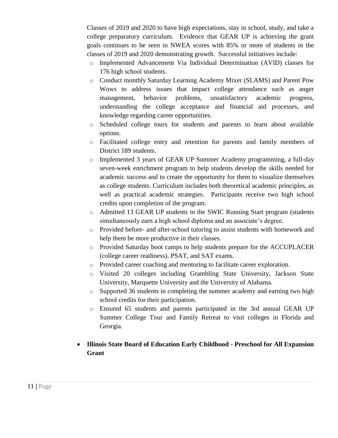Classes of 2019 and 2020 to have high expectations, stay in school, study, and take a college preparatory curriculum*.* Evidence that GEAR UP is achieving the grant goals continues to be seen in NWEA scores with 85% or more of students in the classes of 2019 and 2020 demonstrating growth. Successful initiatives include:

- o Implemented Advancement Via Individual Determination (AVID) classes for 176 high school students.
- o Conduct monthly Saturday Learning Academy Mixer (SLAMS) and Parent Pow Wows to address issues that impact college attendance such as anger management, behavior problems, unsatisfactory academic progress, understanding the college acceptance and financial aid processes, and knowledge regarding career opportunities.
- o Scheduled college tours for students and parents to learn about available options.
- o Facilitated college entry and retention for parents and family members of District 189 students.
- o Implemented 3 years of GEAR UP Summer Academy programming, a full-day seven-week enrichment program to help students develop the skills needed for academic success and to create the opportunity for them to visualize themselves as college students. Curriculum includes both theoretical academic principles, as well as practical academic strategies. Participants receive two high school credits upon completion of the program.
- o Admitted 13 GEAR UP students to the SWIC Running Start program (students simultaneously earn a high school diploma and an associate's degree.
- o Provided before- and after-school tutoring to assist students with homework and help them be more productive in their classes.
- o Provided Saturday boot camps to help students prepare for the ACCUPLACER (college career readiness), PSAT, and SAT exams.
- o Provided career coaching and mentoring to facilitate career exploration.
- o Visited 20 colleges including Grambling State University, Jackson State University, Marquette University and the University of Alabama.
- o Supported 36 students in completing the summer academy and earning two high school credits for their participation.
- o Ensured 65 students and parents participated in the 3rd annual GEAR UP Summer College Tour and Family Retreat to visit colleges in Florida and Georgia.
- **Illinois State Board of Education Early Childhood - Preschool for All Expansion Grant**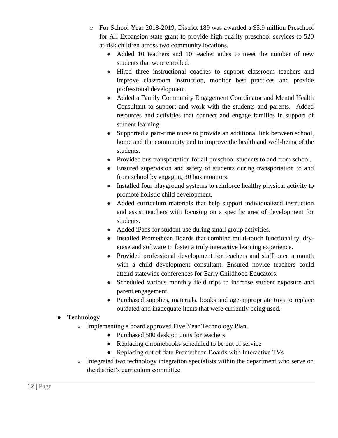- o For School Year 2018-2019, District 189 was awarded a \$5.9 million Preschool for All Expansion state grant to provide high quality preschool services to 520 at-risk children across two community locations.
	- Added 10 teachers and 10 teacher aides to meet the number of new students that were enrolled.
	- Hired three instructional coaches to support classroom teachers and improve classroom instruction, monitor best practices and provide professional development.
	- Added a Family Community Engagement Coordinator and Mental Health Consultant to support and work with the students and parents. Added resources and activities that connect and engage families in support of student learning.
	- Supported a part-time nurse to provide an additional link between school, home and the community and to improve the health and well-being of the students.
	- Provided bus transportation for all preschool students to and from school.
	- Ensured supervision and safety of students during transportation to and from school by engaging 30 bus monitors.
	- Installed four playground systems to reinforce healthy physical activity to promote holistic child development.
	- Added curriculum materials that help support individualized instruction and assist teachers with focusing on a specific area of development for students.
	- Added iPads for student use during small group activities.
	- Installed Promethean Boards that combine multi-touch functionality, dryerase and software to foster a truly interactive learning experience.
	- Provided professional development for teachers and staff once a month with a child development consultant. Ensured novice teachers could attend statewide conferences for Early Childhood Educators.
	- Scheduled various monthly field trips to increase student exposure and parent engagement.
	- Purchased supplies, materials, books and age-appropriate toys to replace outdated and inadequate items that were currently being used.

#### ● **Technology**

- Implementing a board approved Five Year Technology Plan.
	- Purchased 500 desktop units for teachers
	- Replacing chromebooks scheduled to be out of service
	- Replacing out of date Promethean Boards with Interactive TVs
- Integrated two technology integration specialists within the department who serve on the district's curriculum committee.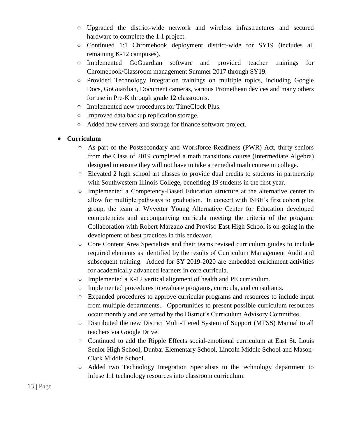- Upgraded the district-wide network and wireless infrastructures and secured hardware to complete the 1:1 project.
- Continued 1:1 Chromebook deployment district-wide for SY19 (includes all remaining K-12 campuses).
- Implemented GoGuardian software and provided teacher trainings for Chromebook/Classroom management Summer 2017 through SY19.
- Provided Technology Integration trainings on multiple topics, including Google Docs, GoGuardian, Document cameras, various Promethean devices and many others for use in Pre-K through grade 12 classrooms.
- Implemented new procedures for TimeClock Plus.
- Improved data backup replication storage.
- Added new servers and storage for finance software project.

#### ● **Curriculum**

- As part of the Postsecondary and Workforce Readiness (PWR) Act, thirty seniors from the Class of 2019 completed a math transitions course (Intermediate Algebra) designed to ensure they will not have to take a remedial math course in college.
- Elevated 2 high school art classes to provide dual credits to students in partnership with Southwestern Illinois College, benefiting 19 students in the first year.
- Implemented a Competency-Based Education structure at the alternative center to allow for multiple pathways to graduation. In concert with ISBE's first cohort pilot group, the team at Wyvetter Young Alternative Center for Education developed competencies and accompanying curricula meeting the criteria of the program. Collaboration with Robert Marzano and Proviso East High School is on-going in the development of best practices in this endeavor.
- Core Content Area Specialists and their teams revised curriculum guides to include required elements as identified by the results of Curriculum Management Audit and subsequent training. Added for SY 2019-2020 are embedded enrichment activities for academically advanced learners in core curricula.
- $\circ$  Implemented a K-12 vertical alignment of health and PE curriculum.
- Implemented procedures to evaluate programs, curricula, and consultants.
- Expanded procedures to approve curricular programs and resources to include input from multiple departments.. Opportunities to present possible curriculum resources occur monthly and are vetted by the District's Curriculum Advisory Committee.
- Distributed the new District Multi-Tiered System of Support (MTSS) Manual to all teachers via Google Drive.
- Continued to add the Ripple Effects social-emotional curriculum at East St. Louis Senior High School, Dunbar Elementary School, Lincoln Middle School and Mason-Clark Middle School.
- Added two Technology Integration Specialists to the technology department to infuse 1:1 technology resources into classroom curriculum.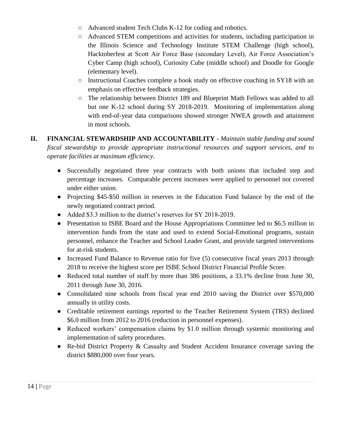- Advanced student Tech Clubs K-12 for coding and robotics.
- Advanced STEM competitions and activities for students, including participation in the Illinois Science and Technology Institute STEM Challenge (high school), Hacktoberfest at Scott Air Force Base (secondary Level), Air Force Association's Cyber Camp (high school), Curiosity Cube (middle school) and Doodle for Google (elementary level).
- Instructional Coaches complete a book study on effective coaching in SY18 with an emphasis on effective feedback strategies.
- The relationship between District 189 and Blueprint Math Fellows was added to all but one K-12 school during SY 2018-2019. Monitoring of implementation along with end-of-year data comparisons showed stronger NWEA growth and attainment in most schools.

#### **II. FINANCIAL STEWARDSHIP AND ACCOUNTABILITY -** *Maintain stable funding and sound fiscal stewardship to provide appropriate instructional resources and support services, and to operate facilities at maximum efficiency.*

- Successfully negotiated three year contracts with both unions that included step and percentage increases. Comparable percent increases were applied to personnel not covered under either union.
- Projecting \$45-\$50 million in reserves in the Education Fund balance by the end of the newly negotiated contract period.
- Added \$3.3 million to the district's reserves for SY 2018-2019.
- Presentation to ISBE Board and the House Appropriations Committee led to \$6.5 million in intervention funds from the state and used to extend Social-Emotional programs, sustain personnel, enhance the Teacher and School Leader Grant, and provide targeted interventions for at-risk students.
- Increased Fund Balance to Revenue ratio for five (5) consecutive fiscal years 2013 through 2018 to receive the highest score per ISBE School District Financial Profile Score.
- Reduced total number of staff by more than 386 positions, a 33.1% decline from June 30, 2011 through June 30, 2016.
- Consolidated nine schools from fiscal year end 2010 saving the District over \$570,000 annually in utility costs.
- Creditable retirement earnings reported to the Teacher Retirement System (TRS) declined \$6.0 million from 2012 to 2016 (reduction in personnel expenses).
- Reduced workers' compensation claims by \$1.0 million through systemic monitoring and implementation of safety procedures.
- Re-bid District Property & Casualty and Student Accident Insurance coverage saving the district \$880,000 over four years.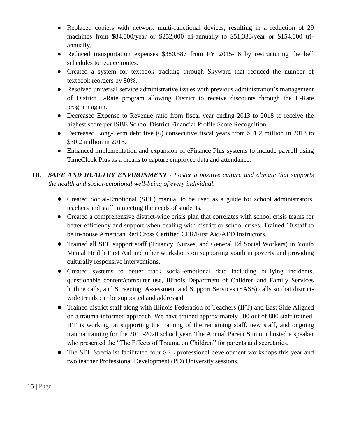- Replaced copiers with network multi-functional devices, resulting in a reduction of 29 machines from \$84,000/year or \$252,000 tri-annually to \$51,333/year or \$154,000 triannually.
- Reduced transportation expenses \$380,587 from FY 2015-16 by restructuring the bell schedules to reduce routes.
- Created a system for textbook tracking through Skyward that reduced the number of textbook reorders by 80%.
- Resolved universal service administrative issues with previous administration's management of District E-Rate program allowing District to receive discounts through the E-Rate program again.
- Decreased Expense to Revenue ratio from fiscal year ending 2013 to 2018 to receive the highest score per ISBE School District Financial Profile Score Recognition.
- Decreased Long-Term debt five (6) consecutive fiscal years from \$51.2 million in 2013 to \$30.2 million in 2018.
- Enhanced implementation and expansion of eFinance Plus systems to include payroll using TimeClock Plus as a means to capture employee data and attendance.
- **III.** *SAFE AND HEALTHY ENVIRONMENT - Foster a positive culture and climate that supports the health and social-emotional well-being of every individual.*
	- Created Social-Emotional (SEL) manual to be used as a guide for school administrators, teachers and staff in meeting the needs of students.
	- Created a comprehensive district-wide crisis plan that correlates with school crisis teams for better efficiency and support when dealing with district or school crises. Trained 10 staff to be in-house American Red Cross Certified CPR/First Aid/AED Instructors.
	- Trained all SEL support staff (Truancy, Nurses, and General Ed Social Workers) in Youth Mental Health First Aid and other workshops on supporting youth in poverty and providing culturally responsive interventions.
	- Created systems to better track social-emotional data including bullying incidents, questionable content/computer use, Illinois Department of Children and Family Services hotline calls, and Screening, Assessment and Support Services (SASS) calls so that districtwide trends can be supported and addressed.
	- Trained district staff along with Illinois Federation of Teachers (IFT) and East Side Aligned on a trauma-informed approach. We have trained approximately 500 out of 800 staff trained. IFT is working on supporting the training of the remaining staff, new staff, and ongoing trauma training for the 2019-2020 school year. The Annual Parent Summit hosted a speaker who presented the "The Effects of Trauma on Children" for parents and secretaries.
	- The SEL Specialist facilitated four SEL professional development workshops this year and two teacher Professional Development (PD) University sessions.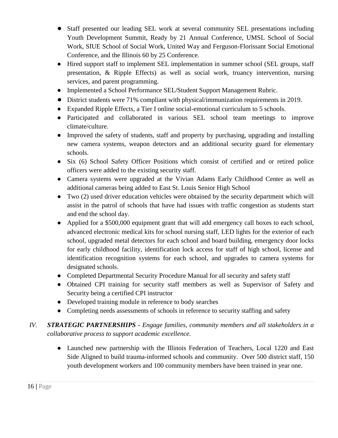- Staff presented our leading SEL work at several community SEL presentations including Youth Development Summit, Ready by 21 Annual Conference, UMSL School of Social Work, SIUE School of Social Work, United Way and Ferguson-Florissant Social Emotional Conference, and the Illinois 60 by 25 Conference.
- Hired support staff to implement SEL implementation in summer school (SEL groups, staff presentation, & Ripple Effects) as well as social work, truancy intervention, nursing services, and parent programming.
- Implemented a School Performance SEL/Student Support Management Rubric.
- District students were 71% compliant with physical/immunization requirements in 2019.
- Expanded Ripple Effects, a Tier I online social-emotional curriculum to 5 schools.
- Participated and collaborated in various SEL school team meetings to improve climate/culture.
- Improved the safety of students, staff and property by purchasing, upgrading and installing new camera systems, weapon detectors and an additional security guard for elementary schools.
- Six (6) School Safety Officer Positions which consist of certified and or retired police officers were added to the existing security staff.
- Camera systems were upgraded at the Vivian Adams Early Childhood Center as well as additional cameras being added to East St. Louis Senior High School
- Two (2) used driver education vehicles were obtained by the security department which will assist in the patrol of schools that have had issues with traffic congestion as students start and end the school day.
- Applied for a \$500,000 equipment grant that will add emergency call boxes to each school, advanced electronic medical kits for school nursing staff, LED lights for the exterior of each school, upgraded metal detectors for each school and board building, emergency door locks for early childhood facility, identification lock access for staff of high school, license and identification recognition systems for each school, and upgrades to camera systems for designated schools.
- Completed Departmental Security Procedure Manual for all security and safety staff
- Obtained CPI training for security staff members as well as Supervisor of Safety and Security being a certified CPI instructor
- Developed training module in reference to body searches
- Completing needs assessments of schools in reference to security staffing and safety
- *IV. STRATEGIC PARTNERSHIPS - Engage families, community members and all stakeholders in a collaborative process to support academic excellence.* 
	- Launched new partnership with the Illinois Federation of Teachers, Local 1220 and East Side Aligned to build trauma-informed schools and community. Over 500 district staff, 150 youth development workers and 100 community members have been trained in year one.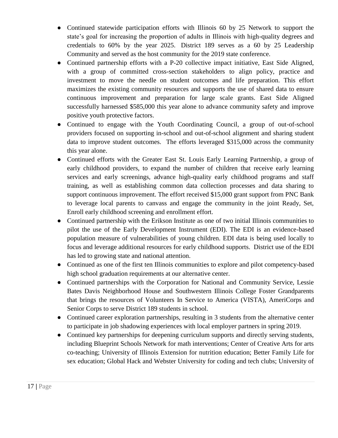- Continued statewide participation efforts with Illinois 60 by 25 Network to support the state's goal for increasing the proportion of adults in Illinois with high-quality degrees and credentials to 60% by the year 2025. District 189 serves as a 60 by 25 Leadership Community and served as the host community for the 2019 state conference.
- Continued partnership efforts with a P-20 collective impact initiative, East Side Aligned, with a group of committed cross-section stakeholders to align policy, practice and investment to move the needle on student outcomes and life preparation. This effort maximizes the existing community resources and supports the use of shared data to ensure continuous improvement and preparation for large scale grants. East Side Aligned successfully harnessed \$585,000 this year alone to advance community safety and improve positive youth protective factors.
- Continued to engage with the Youth Coordinating Council, a group of out-of-school providers focused on supporting in-school and out-of-school alignment and sharing student data to improve student outcomes. The efforts leveraged \$315,000 across the community this year alone.
- Continued efforts with the Greater East St. Louis Early Learning Partnership, a group of early childhood providers, to expand the number of children that receive early learning services and early screenings, advance high-quality early childhood programs and staff training, as well as establishing common data collection processes and data sharing to support continuous improvement. The effort received \$15,000 grant support from PNC Bank to leverage local parents to canvass and engage the community in the joint Ready, Set, Enroll early childhood screening and enrollment effort.
- Continued partnership with the Erikson Institute as one of two initial Illinois communities to pilot the use of the Early Development Instrument (EDI). The EDI is an evidence-based population measure of vulnerabilities of young children. EDI data is being used locally to focus and leverage additional resources for early childhood supports. District use of the EDI has led to growing state and national attention.
- Continued as one of the first ten Illinois communities to explore and pilot competency-based high school graduation requirements at our alternative center.
- Continued partnerships with the Corporation for National and Community Service, Lessie Bates Davis Neighborhood House and Southwestern Illinois College Foster Grandparents that brings the resources of Volunteers In Service to America (VISTA), AmeriCorps and Senior Corps to serve District 189 students in school.
- Continued career exploration partnerships, resulting in 3 students from the alternative center to participate in job shadowing experiences with local employer partners in spring 2019.
- Continued key partnerships for deepening curriculum supports and directly serving students, including Blueprint Schools Network for math interventions; Center of Creative Arts for arts co-teaching; University of Illinois Extension for nutrition education; Better Family Life for sex education; Global Hack and Webster University for coding and tech clubs; University of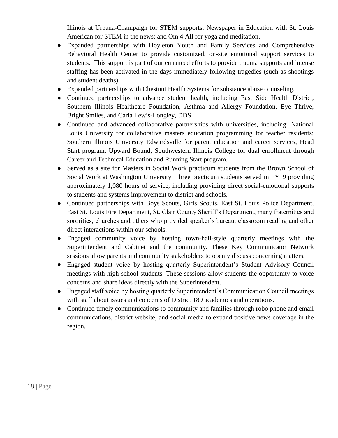Illinois at Urbana-Champaign for STEM supports; Newspaper in Education with St. Louis American for STEM in the news; and Om 4 All for yoga and meditation.

- Expanded partnerships with Hoyleton Youth and Family Services and Comprehensive Behavioral Health Center to provide customized, on-site emotional support services to students. This support is part of our enhanced efforts to provide trauma supports and intense staffing has been activated in the days immediately following tragedies (such as shootings and student deaths).
- Expanded partnerships with Chestnut Health Systems for substance abuse counseling.
- Continued partnerships to advance student health, including East Side Health District, Southern Illinois Healthcare Foundation, Asthma and Allergy Foundation, Eye Thrive, Bright Smiles, and Carla Lewis-Longley, DDS.
- Continued and advanced collaborative partnerships with universities, including: National Louis University for collaborative masters education programming for teacher residents; Southern Illinois University Edwardsville for parent education and career services, Head Start program, Upward Bound; Southwestern Illinois College for dual enrollment through Career and Technical Education and Running Start program.
- Served as a site for Masters in Social Work practicum students from the Brown School of Social Work at Washington University. Three practicum students served in FY19 providing approximately 1,080 hours of service, including providing direct social-emotional supports to students and systems improvement to district and schools.
- Continued partnerships with Boys Scouts, Girls Scouts, East St. Louis Police Department, East St. Louis Fire Department, St. Clair County Sheriff's Department, many fraternities and sororities, churches and others who provided speaker's bureau, classroom reading and other direct interactions within our schools.
- Engaged community voice by hosting town-hall-style quarterly meetings with the Superintendent and Cabinet and the community. These Key Communicator Network sessions allow parents and community stakeholders to openly discuss concerning matters.
- Engaged student voice by hosting quarterly Superintendent's Student Advisory Council meetings with high school students. These sessions allow students the opportunity to voice concerns and share ideas directly with the Superintendent.
- Engaged staff voice by hosting quarterly Superintendent's Communication Council meetings with staff about issues and concerns of District 189 academics and operations.
- Continued timely communications to community and families through robo phone and email communications, district website, and social media to expand positive news coverage in the region.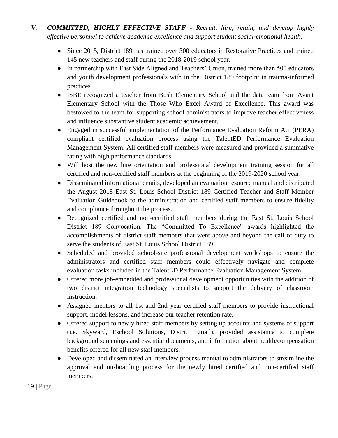- *V. COMMITTED, HIGHLY EFFECTIVE STAFF - Recruit, hire, retain, and develop highly effective personnel to achieve academic excellence and support student social-emotional health.*
	- Since 2015, District 189 has trained over 300 educators in Restorative Practices and trained 145 new teachers and staff during the 2018-2019 school year.
	- In partnership with East Side Aligned and Teachers' Union, trained more than 500 educators and youth development professionals with in the District 189 footprint in trauma-informed practices.
	- ISBE recognized a teacher from Bush Elementary School and the data team from Avant Elementary School with the Those Who Excel Award of Excellence. This award was bestowed to the team for supporting school administrators to improve teacher effectiveness and influence substantive student academic achievement.
	- Engaged in successful implementation of the Performance Evaluation Reform Act (PERA) compliant certified evaluation process using the TalentED Performance Evaluation Management System. All certified staff members were measured and provided a summative rating with high performance standards.
	- Will host the new hire orientation and professional development training session for all certified and non-certified staff members at the beginning of the 2019-2020 school year.
	- Disseminated informational emails, developed an evaluation resource manual and distributed the August 2018 East St. Louis School District 189 Certified Teacher and Staff Member Evaluation Guidebook to the administration and certified staff members to ensure fidelity and compliance throughout the process.
	- Recognized certified and non-certified staff members during the East St. Louis School District 189 Convocation. The "Committed To Excellence" awards highlighted the accomplishments of district staff members that went above and beyond the call of duty to serve the students of East St. Louis School District 189.
	- Scheduled and provided school-site professional development workshops to ensure the administrators and certified staff members could effectively navigate and complete evaluation tasks included in the TalentED Performance Evaluation Management System.
	- Offered more job-embedded and professional development opportunities with the addition of two district integration technology specialists to support the delivery of classroom instruction.
	- Assigned mentors to all 1st and 2nd year certified staff members to provide instructional support, model lessons, and increase our teacher retention rate.
	- Offered support to newly hired staff members by setting up accounts and systems of support (i.e. Skyward, Eschool Solutions, District Email), provided assistance to complete background screenings and essential documents, and information about health/compensation benefits offered for all new staff members.
	- Developed and disseminated an interview process manual to administrators to streamline the approval and on-boarding process for the newly hired certified and non-certified staff members.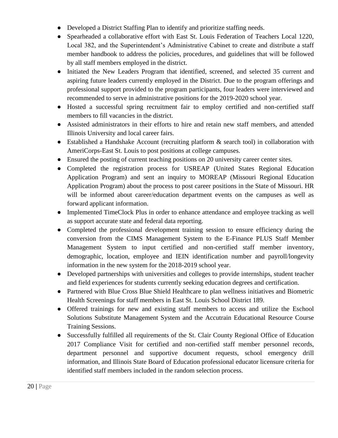- Developed a District Staffing Plan to identify and prioritize staffing needs.
- Spearheaded a collaborative effort with East St. Louis Federation of Teachers Local 1220, Local 382, and the Superintendent's Administrative Cabinet to create and distribute a staff member handbook to address the policies, procedures, and guidelines that will be followed by all staff members employed in the district.
- Initiated the New Leaders Program that identified, screened, and selected 35 current and aspiring future leaders currently employed in the District. Due to the program offerings and professional support provided to the program participants, four leaders were interviewed and recommended to serve in administrative positions for the 2019-2020 school year.
- Hosted a successful spring recruitment fair to employ certified and non-certified staff members to fill vacancies in the district.
- Assisted administrators in their efforts to hire and retain new staff members, and attended Illinois University and local career fairs.
- Established a Handshake Account (recruiting platform & search tool) in collaboration with AmeriCorps-East St. Louis to post positions at college campuses.
- Ensured the posting of current teaching positions on 20 university career center sites.
- Completed the registration process for USREAP (United States Regional Education Application Program) and sent an inquiry to MOREAP (Missouri Regional Education Application Program) about the process to post career positions in the State of Missouri. HR will be informed about career/education department events on the campuses as well as forward applicant information.
- Implemented TimeClock Plus in order to enhance attendance and employee tracking as well as support accurate state and federal data reporting.
- Completed the professional development training session to ensure efficiency during the conversion from the CIMS Management System to the E-Finance PLUS Staff Member Management System to input certified and non-certified staff member inventory, demographic, location, employee and IEIN identification number and payroll/longevity information in the new system for the 2018-2019 school year.
- Developed partnerships with universities and colleges to provide internships, student teacher and field experiences for students currently seeking education degrees and certification.
- Partnered with Blue Cross Blue Shield Healthcare to plan wellness initiatives and Biometric Health Screenings for staff members in East St. Louis School District 189.
- Offered trainings for new and existing staff members to access and utilize the Eschool Solutions Substitute Management System and the Accutrain Educational Resource Course Training Sessions.
- Successfully fulfilled all requirements of the St. Clair County Regional Office of Education 2017 Compliance Visit for certified and non-certified staff member personnel records, department personnel and supportive document requests, school emergency drill information, and Illinois State Board of Education professional educator licensure criteria for identified staff members included in the random selection process.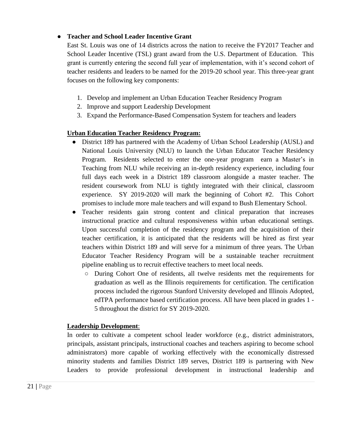#### ● **Teacher and School Leader Incentive Grant**

East St. Louis was one of 14 districts across the nation to receive the FY2017 Teacher and School Leader Incentive (TSL) grant award from the U.S. Department of Education. This grant is currently entering the second full year of implementation, with it's second cohort of teacher residents and leaders to be named for the 2019-20 school year. This three-year grant focuses on the following key components:

- 1. Develop and implement an Urban Education Teacher Residency Program
- 2. Improve and support Leadership Development
- 3. Expand the Performance-Based Compensation System for teachers and leaders

#### **Urban Education Teacher Residency Program:**

- District 189 has partnered with the Academy of Urban School Leadership (AUSL) and National Louis University (NLU) to launch the Urban Educator Teacher Residency Program. Residents selected to enter the one-year program earn a Master's in Teaching from NLU while receiving an in-depth residency experience, including four full days each week in a District 189 classroom alongside a master teacher. The resident coursework from NLU is tightly integrated with their clinical, classroom experience. SY 2019-2020 will mark the beginning of Cohort #2. This Cohort promises to include more male teachers and will expand to Bush Elementary School.
- Teacher residents gain strong content and clinical preparation that increases instructional practice and cultural responsiveness within urban educational settings. Upon successful completion of the residency program and the acquisition of their teacher certification, it is anticipated that the residents will be hired as first year teachers within District 189 and will serve for a minimum of three years. The Urban Educator Teacher Residency Program will be a sustainable teacher recruitment pipeline enabling us to recruit effective teachers to meet local needs.
	- During Cohort One of residents, all twelve residents met the requirements for graduation as well as the Illinois requirements for certification. The certification process included the rigorous Stanford University developed and Illinois Adopted, edTPA performance based certification process. All have been placed in grades 1 - 5 throughout the district for SY 2019-2020.

#### **Leadership Development**:

In order to cultivate a competent school leader workforce (e.g., district administrators, principals, assistant principals, instructional coaches and teachers aspiring to become school administrators) more capable of working effectively with the economically distressed minority students and families District 189 serves, District 189 is partnering with New Leaders to provide professional development in instructional leadership and